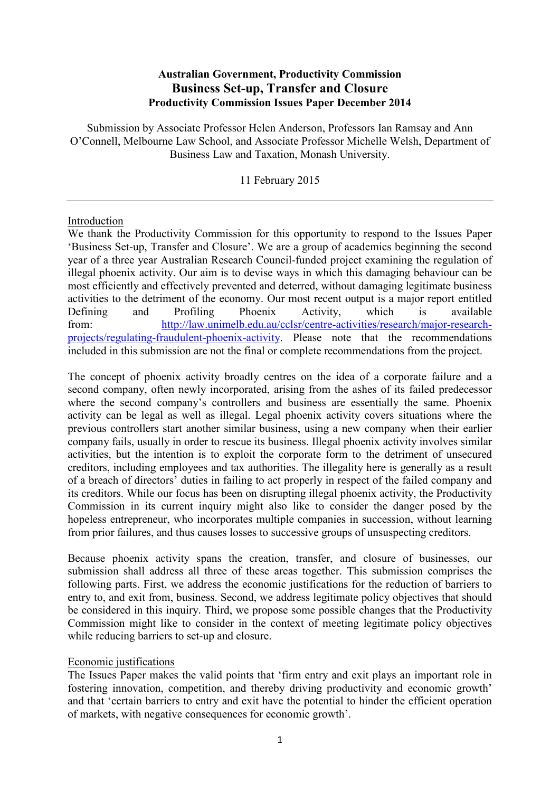# **Australian Government, Productivity Commission Business Set-up, Transfer and Closure Productivity Commission Issues Paper December 2014**

Submission by Associate Professor Helen Anderson, Professors Ian Ramsay and Ann O'Connell, Melbourne Law School, and Associate Professor Michelle Welsh, Department of Business Law and Taxation, Monash University.

11 February 2015

#### Introduction

We thank the Productivity Commission for this opportunity to respond to the Issues Paper 'Business Set-up, Transfer and Closure'. We are a group of academics beginning the second year of a three year Australian Research Council-funded project examining the regulation of illegal phoenix activity. Our aim is to devise ways in which this damaging behaviour can be most efficiently and effectively prevented and deterred, without damaging legitimate business activities to the detriment of the economy. Our most recent output is a major report entitled Defining and Profiling Phoenix Activity, which is available from: [http://law.unimelb.edu.au/cclsr/centre-activities/research/major-research](http://law.unimelb.edu.au/cclsr/centre-activities/research/major-research-projects/regulating-fraudulent-phoenix-activity)[projects/regulating-fraudulent-phoenix-activity.](http://law.unimelb.edu.au/cclsr/centre-activities/research/major-research-projects/regulating-fraudulent-phoenix-activity) Please note that the recommendations included in this submission are not the final or complete recommendations from the project.

The concept of phoenix activity broadly centres on the idea of a corporate failure and a second company, often newly incorporated, arising from the ashes of its failed predecessor where the second company's controllers and business are essentially the same. Phoenix activity can be legal as well as illegal. Legal phoenix activity covers situations where the previous controllers start another similar business, using a new company when their earlier company fails, usually in order to rescue its business. Illegal phoenix activity involves similar activities, but the intention is to exploit the corporate form to the detriment of unsecured creditors, including employees and tax authorities. The illegality here is generally as a result of a breach of directors' duties in failing to act properly in respect of the failed company and its creditors. While our focus has been on disrupting illegal phoenix activity, the Productivity Commission in its current inquiry might also like to consider the danger posed by the hopeless entrepreneur, who incorporates multiple companies in succession, without learning from prior failures, and thus causes losses to successive groups of unsuspecting creditors.

<span id="page-0-0"></span>Because phoenix activity spans the creation, transfer, and closure of businesses, our submission shall address all three of these areas together. This submission comprises the following parts. First, we address the economic justifications for the reduction of barriers to entry to, and exit from, business. Second, we address legitimate policy objectives that should be considered in this inquiry. Third, we propose some possible changes that the Productivity Commission might like to consider in the context of meeting legitimate policy objectives while reducing barriers to set-up and closure.

### Economic justifications

The Issues Paper makes the valid points that 'firm entry and exit plays an important role in fostering innovation, competition, and thereby driving productivity and economic growth' and that 'certain barriers to entry and exit have the potential to hinder the efficient operation of markets, with negative consequences for economic growth'.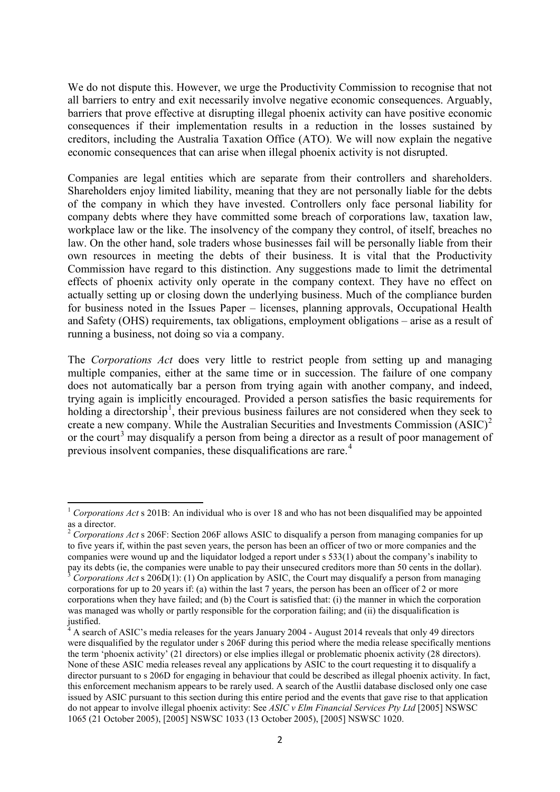We do not dispute this. However, we urge the Productivity Commission to recognise that not all barriers to entry and exit necessarily involve negative economic consequences. Arguably, barriers that prove effective at disrupting illegal phoenix activity can have positive economic consequences if their implementation results in a reduction in the losses sustained by creditors, including the Australia Taxation Office (ATO). We will now explain the negative economic consequences that can arise when illegal phoenix activity is not disrupted.

Companies are legal entities which are separate from their controllers and shareholders. Shareholders enjoy limited liability, meaning that they are not personally liable for the debts of the company in which they have invested. Controllers only face personal liability for company debts where they have committed some breach of corporations law, taxation law, workplace law or the like. The insolvency of the company they control, of itself, breaches no law. On the other hand, sole traders whose businesses fail will be personally liable from their own resources in meeting the debts of their business. It is vital that the Productivity Commission have regard to this distinction. Any suggestions made to limit the detrimental effects of phoenix activity only operate in the company context. They have no effect on actually setting up or closing down the underlying business. Much of the compliance burden for business noted in the Issues Paper – licenses, planning approvals, Occupational Health and Safety (OHS) requirements, tax obligations, employment obligations – arise as a result of running a business, not doing so via a company.

The *Corporations Act* does very little to restrict people from setting up and managing multiple companies, either at the same time or in succession. The failure of one company does not automatically bar a person from trying again with another company, and indeed, trying again is implicitly encouraged. Provided a person satisfies the basic requirements for holding a directorship<sup>[1](#page-0-0)</sup>, their previous business failures are not considered when they seek to create a new company. While the Australian Securities and Investments Commission (ASIC) [2](#page-1-0) or the court<sup>[3](#page-1-1)</sup> may disqualify a person from being a director as a result of poor management of previous insolvent companies, these disqualifications are rare.<sup>[4](#page-1-2)</sup>

<sup>&</sup>lt;sup>1</sup> *Corporations Act* s 201B: An individual who is over 18 and who has not been disqualified may be appointed as a director.

<span id="page-1-0"></span><sup>&</sup>lt;sup>2</sup> *Corporations Act* s 206F: Section 206F allows ASIC to disqualify a person from managing companies for up to five years if, within the past seven years, the person has been an officer of two or more companies and the companies were wound up and the liquidator lodged a report under s 533(1) about the company's inability to pay its debts (ie, the companies were unable to pay their unsecured creditors more than 50 cents in the dollar).<br><sup>3</sup> Corporations Act s 206D(1): (1) On application by ASIC, the Court may disqualify a person from managing

<span id="page-1-1"></span>corporations for up to 20 years if: (a) within the last 7 years, the person has been an officer of 2 or more corporations when they have failed; and (b) the Court is satisfied that: (i) the manner in which the corporation was managed was wholly or partly responsible for the corporation failing; and (ii) the disqualification is justified.

<span id="page-1-2"></span><sup>4</sup> A search of ASIC's media releases for the years January 2004 - August 2014 reveals that only 49 directors were disqualified by the regulator under s 206F during this period where the media release specifically mentions the term 'phoenix activity' (21 directors) or else implies illegal or problematic phoenix activity (28 directors). None of these ASIC media releases reveal any applications by ASIC to the court requesting it to disqualify a director pursuant to s 206D for engaging in behaviour that could be described as illegal phoenix activity. In fact, this enforcement mechanism appears to be rarely used. A search of the Austlii database disclosed only one case issued by ASIC pursuant to this section during this entire period and the events that gave rise to that application do not appear to involve illegal phoenix activity: See *ASIC v Elm Financial Services Pty Ltd* [2005] NSWSC 1065 (21 October 2005), [2005] NSWSC 1033 (13 October 2005), [2005] NSWSC 1020.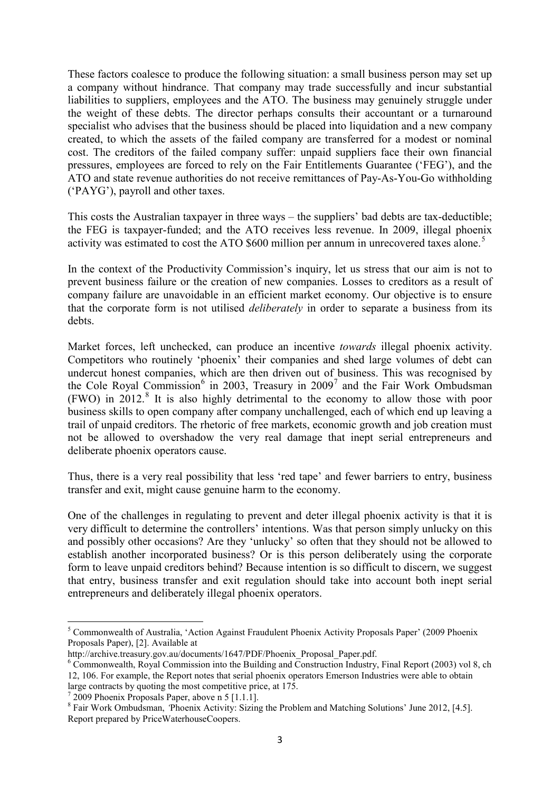These factors coalesce to produce the following situation: a small business person may set up a company without hindrance. That company may trade successfully and incur substantial liabilities to suppliers, employees and the ATO. The business may genuinely struggle under the weight of these debts. The director perhaps consults their accountant or a turnaround specialist who advises that the business should be placed into liquidation and a new company created, to which the assets of the failed company are transferred for a modest or nominal cost. The creditors of the failed company suffer: unpaid suppliers face their own financial pressures, employees are forced to rely on the Fair Entitlements Guarantee ('FEG'), and the ATO and state revenue authorities do not receive remittances of Pay-As-You-Go withholding ('PAYG'), payroll and other taxes.

<span id="page-2-0"></span>This costs the Australian taxpayer in three ways – the suppliers' bad debts are tax-deductible; the FEG is taxpayer-funded; and the ATO receives less revenue. In 2009, illegal phoenix activity was estimated to cost the ATO  $$600$  million per annum in unrecovered taxes alone.<sup>[5](#page-1-2)</sup>

In the context of the Productivity Commission's inquiry, let us stress that our aim is not to prevent business failure or the creation of new companies. Losses to creditors as a result of company failure are unavoidable in an efficient market economy. Our objective is to ensure that the corporate form is not utilised *deliberately* in order to separate a business from its debts.

Market forces, left unchecked, can produce an incentive *towards* illegal phoenix activity. Competitors who routinely 'phoenix' their companies and shed large volumes of debt can undercut honest companies, which are then driven out of business. This was recognised by the Cole Royal Commission<sup>[6](#page-2-1)</sup> in 2003, Treasury in 2009<sup>[7](#page-2-2)</sup> and the Fair Work Ombudsman  $(FWO)$  in 2012.<sup>[8](#page-2-3)</sup> It is also highly detrimental to the economy to allow those with poor business skills to open company after company unchallenged, each of which end up leaving a trail of unpaid creditors. The rhetoric of free markets, economic growth and job creation must not be allowed to overshadow the very real damage that inept serial entrepreneurs and deliberate phoenix operators cause.

Thus, there is a very real possibility that less 'red tape' and fewer barriers to entry, business transfer and exit, might cause genuine harm to the economy.

One of the challenges in regulating to prevent and deter illegal phoenix activity is that it is very difficult to determine the controllers' intentions. Was that person simply unlucky on this and possibly other occasions? Are they 'unlucky' so often that they should not be allowed to establish another incorporated business? Or is this person deliberately using the corporate form to leave unpaid creditors behind? Because intention is so difficult to discern, we suggest that entry, business transfer and exit regulation should take into account both inept serial entrepreneurs and deliberately illegal phoenix operators.

<span id="page-2-3"></span><span id="page-2-2"></span>

<sup>5</sup> Commonwealth of Australia, 'Action Against Fraudulent Phoenix Activity Proposals Paper' (2009 Phoenix Proposals Paper), [2]. Available at

http://archive.treasury.gov.au/documents/1647/PDF/Phoenix\_Proposal\_Paper.pdf.

<span id="page-2-1"></span> $6$  Commonwealth, Royal Commission into the Building and  $\overline{C}$ onstruction Industry, Final Report (2003) vol 8, ch 12, 106. For example, the Report notes that serial phoenix operators Emerson Industries were able to obtain

large contracts by quoting the most competitive price, at 175.<br><sup>7</sup> 2009 Phoenix Proposals Paper, above n 5 [1.1.1].<br><sup>8</sup> Fair Work Ombudsman, *'*Phoenix Activity: Sizing the Problem and Matching Solutions' June 2012, [4.5]. Report prepared by PriceWaterhouseCoopers.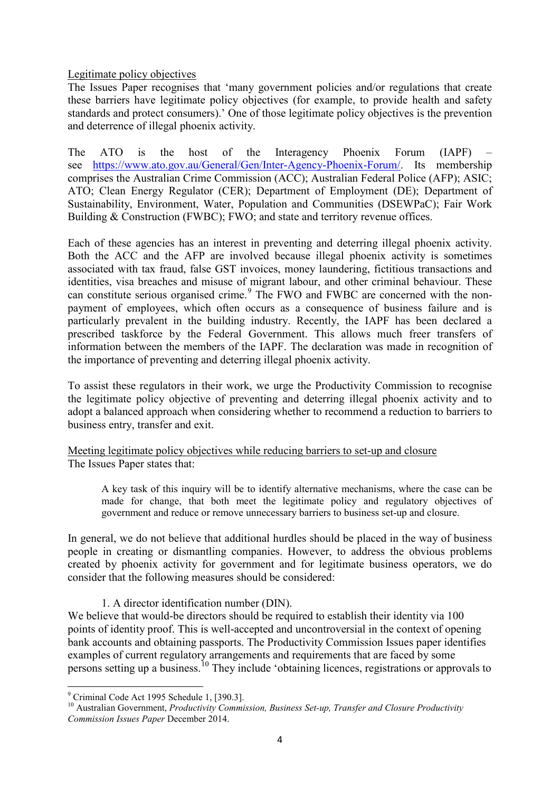### Legitimate policy objectives

The Issues Paper recognises that 'many government policies and/or regulations that create these barriers have legitimate policy objectives (for example, to provide health and safety standards and protect consumers).' One of those legitimate policy objectives is the prevention and deterrence of illegal phoenix activity.

The ATO is the host of the Interagency Phoenix Forum (IAPF) see [https://www.ato.gov.au/General/Gen/Inter-Agency-Phoenix-Forum/.](https://www.ato.gov.au/General/Gen/Inter-Agency-Phoenix-Forum/) Its membership comprises the Australian Crime Commission (ACC); Australian Federal Police (AFP); ASIC; ATO; Clean Energy Regulator (CER); Department of Employment (DE); Department of Sustainability, Environment, Water, Population and Communities (DSEWPaC); Fair Work Building & Construction (FWBC); FWO; and state and territory revenue offices.

Each of these agencies has an interest in preventing and deterring illegal phoenix activity. Both the ACC and the AFP are involved because illegal phoenix activity is sometimes associated with tax fraud, false GST invoices, money laundering, fictitious transactions and identities, visa breaches and misuse of migrant labour, and other criminal behaviour. These can constitute serious organised crime.<sup>[9](#page-2-2)</sup> The FWO and FWBC are concerned with the nonpayment of employees, which often occurs as a consequence of business failure and is particularly prevalent in the building industry. Recently, the IAPF has been declared a prescribed taskforce by the Federal Government. This allows much freer transfers of information between the members of the IAPF. The declaration was made in recognition of the importance of preventing and deterring illegal phoenix activity.

To assist these regulators in their work, we urge the Productivity Commission to recognise the legitimate policy objective of preventing and deterring illegal phoenix activity and to adopt a balanced approach when considering whether to recommend a reduction to barriers to business entry, transfer and exit.

# Meeting legitimate policy objectives while reducing barriers to set-up and closure The Issues Paper states that:

A key task of this inquiry will be to identify alternative mechanisms, where the case can be made for change, that both meet the legitimate policy and regulatory objectives of government and reduce or remove unnecessary barriers to business set-up and closure.

In general, we do not believe that additional hurdles should be placed in the way of business people in creating or dismantling companies. However, to address the obvious problems created by phoenix activity for government and for legitimate business operators, we do consider that the following measures should be considered:

1. A director identification number (DIN).

We believe that would-be directors should be required to establish their identity via 100 points of identity proof. This is well-accepted and uncontroversial in the context of opening bank accounts and obtaining passports. The Productivity Commission Issues paper identifies examples of current regulatory arrangements and requirements that are faced by some persons setting up a business.<sup>[10](#page-3-0)</sup> They include 'obtaining licences, registrations or approvals to

<span id="page-3-1"></span><sup>9</sup> Criminal Code Act 1995 Schedule 1, [390.3].

<span id="page-3-0"></span><sup>&</sup>lt;sup>10</sup> Australian Government, *Productivity Commission, Business Set-up, Transfer and Closure Productivity Commission Issues Paper* December 2014.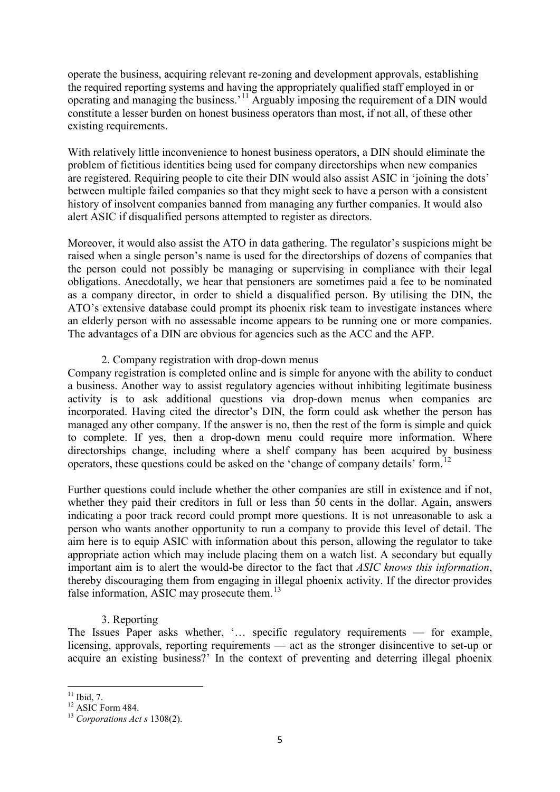operate the business, acquiring relevant re-zoning and development approvals, establishing the required reporting systems and having the appropriately qualified staff employed in or operating and managing the business.'[11](#page-3-1) Arguably imposing the requirement of a DIN would constitute a lesser burden on honest business operators than most, if not all, of these other existing requirements.

With relatively little inconvenience to honest business operators, a DIN should eliminate the problem of fictitious identities being used for company directorships when new companies are registered. Requiring people to cite their DIN would also assist ASIC in 'joining the dots' between multiple failed companies so that they might seek to have a person with a consistent history of insolvent companies banned from managing any further companies. It would also alert ASIC if disqualified persons attempted to register as directors.

Moreover, it would also assist the ATO in data gathering. The regulator's suspicions might be raised when a single person's name is used for the directorships of dozens of companies that the person could not possibly be managing or supervising in compliance with their legal obligations. Anecdotally, we hear that pensioners are sometimes paid a fee to be nominated as a company director, in order to shield a disqualified person. By utilising the DIN, the ATO's extensive database could prompt its phoenix risk team to investigate instances where an elderly person with no assessable income appears to be running one or more companies. The advantages of a DIN are obvious for agencies such as the ACC and the AFP.

# 2. Company registration with drop-down menus

Company registration is completed online and is simple for anyone with the ability to conduct a business. Another way to assist regulatory agencies without inhibiting legitimate business activity is to ask additional questions via drop-down menus when companies are incorporated. Having cited the director's DIN, the form could ask whether the person has managed any other company. If the answer is no, then the rest of the form is simple and quick to complete. If yes, then a drop-down menu could require more information. Where directorships change, including where a shelf company has been acquired by business operators, these questions could be asked on the 'change of company details' form.[12](#page-4-0)

Further questions could include whether the other companies are still in existence and if not. whether they paid their creditors in full or less than 50 cents in the dollar. Again, answers indicating a poor track record could prompt more questions. It is not unreasonable to ask a person who wants another opportunity to run a company to provide this level of detail. The aim here is to equip ASIC with information about this person, allowing the regulator to take appropriate action which may include placing them on a watch list. A secondary but equally important aim is to alert the would-be director to the fact that *ASIC knows this information*, thereby discouraging them from engaging in illegal phoenix activity. If the director provides false information, ASIC may prosecute them.<sup>[13](#page-4-1)</sup>

### 3. Reporting

The Issues Paper asks whether, '… specific regulatory requirements — for example, licensing, approvals, reporting requirements — act as the stronger disincentive to set-up or acquire an existing business?' In the context of preventing and deterring illegal phoenix

<span id="page-4-1"></span>

<span id="page-4-2"></span><span id="page-4-0"></span><sup>11</sup> Ibid, 7. 12 ASIC Form 484. <sup>13</sup> *Corporations Act s* 1308(2).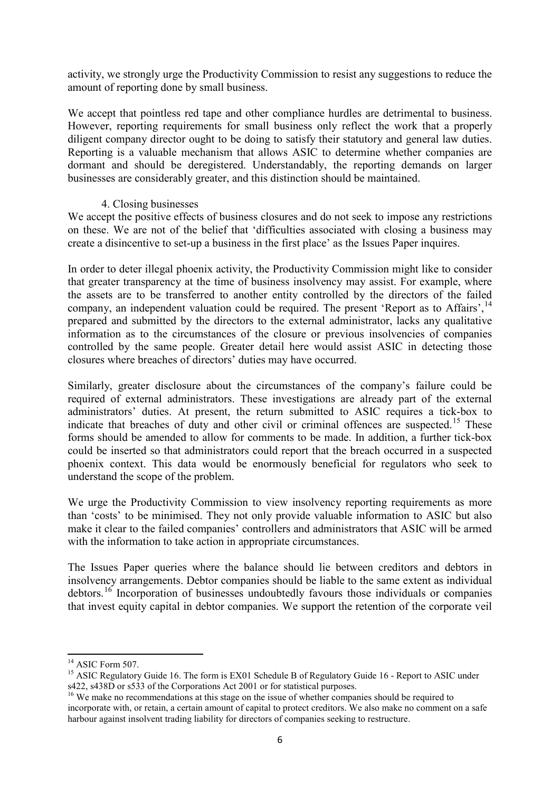activity, we strongly urge the Productivity Commission to resist any suggestions to reduce the amount of reporting done by small business.

We accept that pointless red tape and other compliance hurdles are detrimental to business. However, reporting requirements for small business only reflect the work that a properly diligent company director ought to be doing to satisfy their statutory and general law duties. Reporting is a valuable mechanism that allows ASIC to determine whether companies are dormant and should be deregistered. Understandably, the reporting demands on larger businesses are considerably greater, and this distinction should be maintained.

# 4. Closing businesses

We accept the positive effects of business closures and do not seek to impose any restrictions on these. We are not of the belief that 'difficulties associated with closing a business may create a disincentive to set-up a business in the first place' as the Issues Paper inquires.

In order to deter illegal phoenix activity, the Productivity Commission might like to consider that greater transparency at the time of business insolvency may assist. For example, where the assets are to be transferred to another entity controlled by the directors of the failed company, an independent valuation could be required. The present 'Report as to Affairs',<sup>[14](#page-4-2)</sup> prepared and submitted by the directors to the external administrator, lacks any qualitative information as to the circumstances of the closure or previous insolvencies of companies controlled by the same people. Greater detail here would assist ASIC in detecting those closures where breaches of directors' duties may have occurred.

Similarly, greater disclosure about the circumstances of the company's failure could be required of external administrators. These investigations are already part of the external administrators' duties. At present, the return submitted to ASIC requires a tick-box to indicate that breaches of duty and other civil or criminal offences are suspected.<sup>[15](#page-5-0)</sup> These forms should be amended to allow for comments to be made. In addition, a further tick-box could be inserted so that administrators could report that the breach occurred in a suspected phoenix context. This data would be enormously beneficial for regulators who seek to understand the scope of the problem.

We urge the Productivity Commission to view insolvency reporting requirements as more than 'costs' to be minimised. They not only provide valuable information to ASIC but also make it clear to the failed companies' controllers and administrators that ASIC will be armed with the information to take action in appropriate circumstances.

The Issues Paper queries where the balance should lie between creditors and debtors in insolvency arrangements. Debtor companies should be liable to the same extent as individual debtors.[16](#page-5-1) Incorporation of businesses undoubtedly favours those individuals or companies that invest equity capital in debtor companies. We support the retention of the corporate veil

<span id="page-5-2"></span><span id="page-5-0"></span><sup>&</sup>lt;sup>14</sup> ASIC Form 507.<br><sup>15</sup> ASIC Regulatory Guide 16. The form is EX01 Schedule B of Regulatory Guide 16 - Report to ASIC under s422, s438D or s533 of the Corporations Act 2001 or for statistical purposes.

<span id="page-5-1"></span><sup>&</sup>lt;sup>16</sup> We make no recommendations at this stage on the issue of whether companies should be required to incorporate with, or retain, a certain amount of capital to protect creditors. We also make no comment on a safe harbour against insolvent trading liability for directors of companies seeking to restructure.